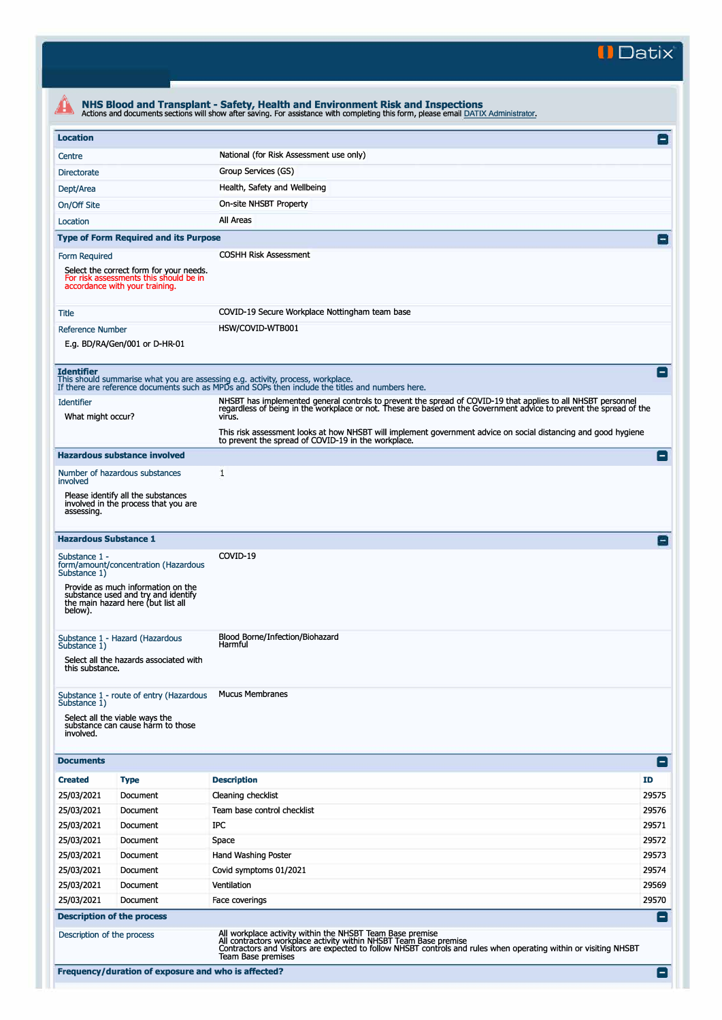**II Datix'** 

| <b>Location</b>                        |                                                                                                                     | National (for Risk Assessment use only)                                                                                                                                                                                                            | $\Box$                   |  |  |  |  |
|----------------------------------------|---------------------------------------------------------------------------------------------------------------------|----------------------------------------------------------------------------------------------------------------------------------------------------------------------------------------------------------------------------------------------------|--------------------------|--|--|--|--|
| Centre                                 |                                                                                                                     |                                                                                                                                                                                                                                                    |                          |  |  |  |  |
| <b>Directorate</b>                     |                                                                                                                     | Group Services (GS)                                                                                                                                                                                                                                |                          |  |  |  |  |
| Dept/Area                              |                                                                                                                     | Health, Safety and Wellbeing                                                                                                                                                                                                                       |                          |  |  |  |  |
| On/Off Site                            |                                                                                                                     |                                                                                                                                                                                                                                                    | On-site NHSBT Property   |  |  |  |  |
| Location                               |                                                                                                                     | All Areas                                                                                                                                                                                                                                          |                          |  |  |  |  |
|                                        | <b>Type of Form Required and its Purpose</b>                                                                        |                                                                                                                                                                                                                                                    |                          |  |  |  |  |
| Form Required                          | Select the correct form for your needs.<br>For risk assessments this should be in<br>accordance with your training. | <b>COSHH Risk Assessment</b>                                                                                                                                                                                                                       |                          |  |  |  |  |
| Title                                  |                                                                                                                     | COVID-19 Secure Workplace Nottingham team base                                                                                                                                                                                                     |                          |  |  |  |  |
| <b>Reference Number</b>                |                                                                                                                     | HSW/COVID-WTB001                                                                                                                                                                                                                                   |                          |  |  |  |  |
|                                        | E.g. BD/RA/Gen/001 or D-HR-01                                                                                       |                                                                                                                                                                                                                                                    |                          |  |  |  |  |
| <b>Identifier</b>                      |                                                                                                                     | This should summarise what you are assessing e.g. activity, process, workplace.<br>If there are reference documents such as MPDs and SOPs then include the titles and numbers here.                                                                | $\sim$                   |  |  |  |  |
| <b>Identifier</b><br>What might occur? |                                                                                                                     | NHSBT has implemented general controls to prevent the spread of COVID-19 that applies to all NHSBT personnel<br>regardless of being in the workplace or not. These are based on the Government advice to prevent the spread of the<br>virus.       |                          |  |  |  |  |
|                                        |                                                                                                                     | This risk assessment looks at how NHSBT will implement government advice on social distancing and good hygiene<br>to prevent the spread of COVID-19 in the workplace.                                                                              |                          |  |  |  |  |
|                                        | <b>Hazardous substance involved</b>                                                                                 |                                                                                                                                                                                                                                                    | н.                       |  |  |  |  |
| involved                               | Number of hazardous substances                                                                                      | 1                                                                                                                                                                                                                                                  |                          |  |  |  |  |
| assessing.                             | Please identify all the substances<br>involved in the process that you are                                          |                                                                                                                                                                                                                                                    |                          |  |  |  |  |
| <b>Hazardous Substance 1</b>           |                                                                                                                     |                                                                                                                                                                                                                                                    | $\overline{\phantom{0}}$ |  |  |  |  |
| Substance 1 -<br>Substance 1)          | form/amount/concentration (Hazardous                                                                                | COVID-19                                                                                                                                                                                                                                           |                          |  |  |  |  |
| below).                                | Provide as much information on the<br>substance used and try and identify<br>the main hazard here (but list all     |                                                                                                                                                                                                                                                    |                          |  |  |  |  |
| Substance 1)                           | Substance 1 - Hazard (Hazardous                                                                                     | Blood Borne/Infection/Biohazard<br>Harmful                                                                                                                                                                                                         |                          |  |  |  |  |
| this substance.                        | Select all the hazards associated with                                                                              |                                                                                                                                                                                                                                                    |                          |  |  |  |  |
|                                        | Substance 1 - route of entry (Hazardous                                                                             | <b>Mucus Membranes</b>                                                                                                                                                                                                                             |                          |  |  |  |  |
| Substance 1)<br>involved.              | Select all the viable ways the<br>substance can cause harm to those                                                 |                                                                                                                                                                                                                                                    |                          |  |  |  |  |
| <b>Documents</b>                       |                                                                                                                     |                                                                                                                                                                                                                                                    | ۸                        |  |  |  |  |
| <b>Created</b>                         | <b>Type</b>                                                                                                         | <b>Description</b>                                                                                                                                                                                                                                 | ID                       |  |  |  |  |
| 25/03/2021                             | Document                                                                                                            | Cleaning checklist                                                                                                                                                                                                                                 | 29575                    |  |  |  |  |
| 25/03/2021                             | Document                                                                                                            | Team base control checklist                                                                                                                                                                                                                        | 29576                    |  |  |  |  |
| 25/03/2021                             | Document                                                                                                            | IPC                                                                                                                                                                                                                                                | 29571                    |  |  |  |  |
| 25/03/2021                             | Document                                                                                                            | Space                                                                                                                                                                                                                                              | 29572                    |  |  |  |  |
| 25/03/2021                             | Document                                                                                                            | Hand Washing Poster                                                                                                                                                                                                                                | 29573                    |  |  |  |  |
| 25/03/2021                             | Document                                                                                                            | Covid symptoms 01/2021                                                                                                                                                                                                                             | 29574                    |  |  |  |  |
| 25/03/2021                             | Document                                                                                                            | Ventilation                                                                                                                                                                                                                                        | 29569                    |  |  |  |  |
| 25/03/2021                             | Document                                                                                                            | Face coverings                                                                                                                                                                                                                                     | 29570                    |  |  |  |  |
|                                        | <b>Description of the process</b>                                                                                   |                                                                                                                                                                                                                                                    |                          |  |  |  |  |
| Description of the process             |                                                                                                                     | All workplace activity within the NHSBT Team Base premise<br>All contractors workplace activity within NHSBT Team Base premise<br>Contractors and Visitors are expected to follow NHSBT controls and rules when operating within or visiting NHSBT | н                        |  |  |  |  |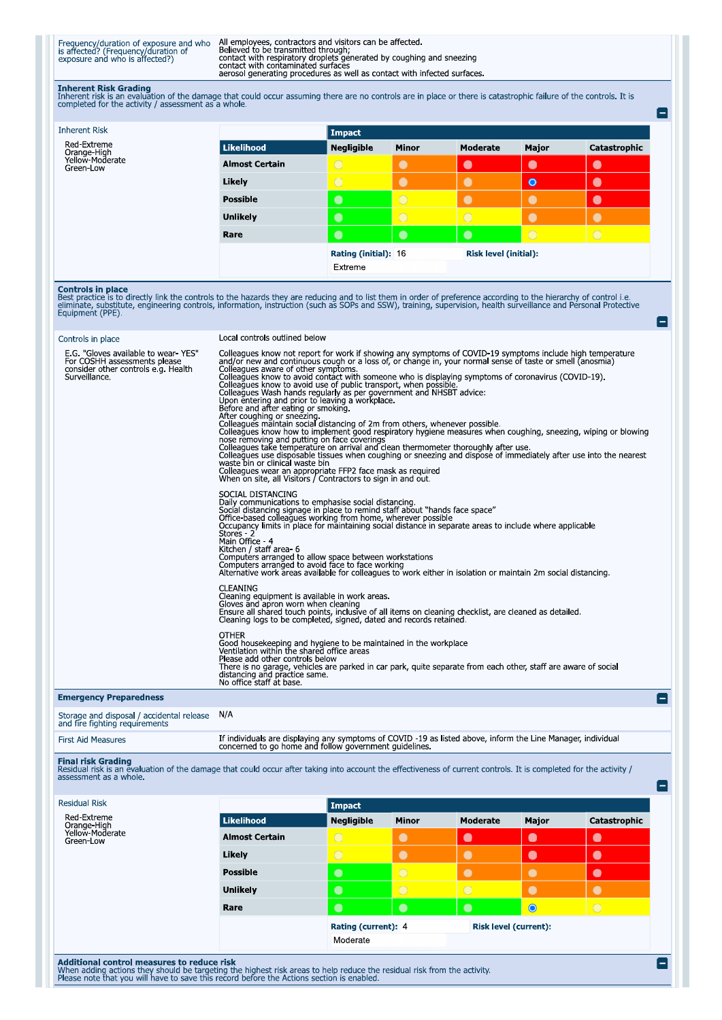Frequency/duration of exposure and who All employees, contractors and visitors can be affected.<br>
is affected? (Frequency/duration of Believed to be transmitted through;<br>
exposure and who is affected?) contact with respirat

Inherent Risk Grading<br>Inherent risk is an evaluation of the damage that could occur assuming there are no controls are in place or there is catastrophic failure of the controls. It is<br>completed for the activity / assessmen

|                       | Impact            |                |                              |           |              |
|-----------------------|-------------------|----------------|------------------------------|-----------|--------------|
| Likelihood            | <b>Negligible</b> | <b>Minor</b>   | Moderate                     | Major     | Catastrophic |
| <b>Almost Certain</b> | $\bigcirc$        | $\bullet$      | $\bullet$                    | $\bullet$ | $\bullet$    |
| Likely                | $\bigcirc$        | $\bullet$      | $\bullet$                    | $\bullet$ | $\bullet$    |
| <b>Possible</b>       | $\bullet$         | $\circ$        | $\bullet$                    | $\bullet$ | $\bullet$    |
| <b>Unlikely</b>       | $\bullet$         | $\overline{O}$ | $\overline{O}$               |           |              |
| Rare                  | $\bullet$         | $\bullet$      | $\bullet$                    | $\circ$   | $\bigcirc$   |
|                       |                   |                | <b>Risk level (initial):</b> |           |              |
|                       | Extreme           |                |                              |           |              |
|                       |                   |                | Rating (initial): 16         |           |              |

**Controls in place**<br>Best practice is to directly link the controls to the hazards they are reducing and to list them in order of preference according to the hierarchy of control i.e.<br>eliminate, substitute, engineering cont

| Controls in place                                                                                                           | Local controls outlined below                                                                                                                                                                                                                                                                                                                                                                                                                                                                                                                                                                                                                                                                                                                                                                                                                                                                                                                                                                                                                                                                                                                                                                                                                                                                              |
|-----------------------------------------------------------------------------------------------------------------------------|------------------------------------------------------------------------------------------------------------------------------------------------------------------------------------------------------------------------------------------------------------------------------------------------------------------------------------------------------------------------------------------------------------------------------------------------------------------------------------------------------------------------------------------------------------------------------------------------------------------------------------------------------------------------------------------------------------------------------------------------------------------------------------------------------------------------------------------------------------------------------------------------------------------------------------------------------------------------------------------------------------------------------------------------------------------------------------------------------------------------------------------------------------------------------------------------------------------------------------------------------------------------------------------------------------|
| E.G. "Gloves available to wear YES"<br>For COSHH assessments please<br>consider other controls e.g. Health<br>Surveillance. | Colleagues know not report for work if showing any symptoms of COVID-19 symptoms include high temperature<br>and/or new and continuous cough or a loss of, or change in, your normal sense of taste or smell (anosmia)<br>Colleagues aware of other symptoms.<br>Colleagues know to avoid contact with someone who is displaying symptoms of coronavirus (COVID-19).<br>Colleagues know to avoid use of public transport, when possible.<br>Colleagues Wash hands regularly as per government and NHSBT advice:<br>Upon entering and prior to leaving a workplace.<br>Before and after eating or smoking.<br>After coughing or sneezing.<br>Colleagues maintain social distancing of 2m from others, whenever possible.<br>Colleagues maintain social distancing of 2m from others, whenever possible.<br>Colleagues know how to implement good respiratory hygiene measures whe<br>nose removing and putting on face coverings<br>Colleagues take temperature on arrival and clean thermometer thoroughly after use.<br>Colleagues use disposable tissues when coughing or sneezing and dispose of immediately after use into the nearest<br>waste bin or clinical waste bin<br>Colleagues wear an appropriate FFP2 face mask as required<br>When on site, all Visitors / Contractors to sign in and out. |
|                                                                                                                             | SOCIAL DISTANCING<br>Daily communications to emphasise social distancing.<br>Social distancing signage in place to remind staff about "hands face space"<br>Office-based colleagues working from home, wherever possible<br>Occupancy limits in place for maintaining social distance in separate areas to include where applicable<br>Stores 2<br>Main Office - 4<br>Kitchen / staff area- 6<br>Computers arranged to allow space between workstations<br>Computers arranged to avoid face to face working<br>Alternative work areas available for colleagues to work either in isolation or maintain 2m social distancing.                                                                                                                                                                                                                                                                                                                                                                                                                                                                                                                                                                                                                                                                               |
|                                                                                                                             | <b>CLEANING</b><br>Cleaning equipment is available in work areas.<br>Gloves and apron worn when cleaning<br>Ensure all shared touch points, inclusive of all items on cleaning checklist, are cleaned as detailed.<br>Cleaning logs to be completed, signed, dated and records retained.                                                                                                                                                                                                                                                                                                                                                                                                                                                                                                                                                                                                                                                                                                                                                                                                                                                                                                                                                                                                                   |
|                                                                                                                             | <b>OTHER</b><br>Good housekeeping and hygiene to be maintained in the workplace<br>Ventilation within the shared office areas<br>Please add other controls below<br>There is no garage, vehicles are parked in car park, quite separate from each other, staff are aware of social<br>distancing and practice same.<br>No office staff at base.                                                                                                                                                                                                                                                                                                                                                                                                                                                                                                                                                                                                                                                                                                                                                                                                                                                                                                                                                            |
| <b>Emergency Preparedness</b>                                                                                               | $\blacksquare$                                                                                                                                                                                                                                                                                                                                                                                                                                                                                                                                                                                                                                                                                                                                                                                                                                                                                                                                                                                                                                                                                                                                                                                                                                                                                             |
| Storage and disposal / accidental release N/A                                                                               |                                                                                                                                                                                                                                                                                                                                                                                                                                                                                                                                                                                                                                                                                                                                                                                                                                                                                                                                                                                                                                                                                                                                                                                                                                                                                                            |

| and the hynthig reguliements |                                                                                                                                                                        |
|------------------------------|------------------------------------------------------------------------------------------------------------------------------------------------------------------------|
| <b>First Aid Measures</b>    | If individuals are displaying any symptoms of COVID -19 as listed above, inform the Line Manager, individual<br>concerned to go home and follow government guidelines. |

Final risk Grading<br>Residual risk is an evaluation of the damage that could occur after taking into account the effectiveness of current controls. It is completed for the activity /<br>assessment as a whole.

| <b>Residual Risk</b>                       |                       | Impact                          |              |                              |           |              |
|--------------------------------------------|-----------------------|---------------------------------|--------------|------------------------------|-----------|--------------|
| Red-Extreme<br>Orange-High                 | Likelihood            | <b>Negligible</b>               | <b>Minor</b> | Moderate                     | Major     | Catastrophic |
| Yellow-Moderate<br>Green-Low               | <b>Almost Certain</b> | $\bigcirc$                      | $\bullet$    | $\bullet$                    | $\bullet$ | $\bullet$    |
|                                            | Likely                | $\bigcirc$                      | $\bullet$    | $\bullet$                    | $\bullet$ | $\bullet$    |
|                                            | <b>Possible</b>       | $\bullet$                       | $\bigcirc$   | $\bullet$                    |           | $\bullet$    |
|                                            | <b>Unlikely</b>       | $\bullet$                       | $\bigcirc$   | $\bigcirc$                   | $\bullet$ | $\bullet$    |
|                                            | Rare                  | $\bullet$                       | $\bullet$    | $\bullet$                    | $\bullet$ | $\bigcirc$   |
|                                            |                       | Rating (current): 4<br>Moderate |              | <b>Risk level (current):</b> |           |              |
| Additional control measures to reduce risk |                       |                                 |              |                              |           |              |

When adding actions they should be targeting the highest risk areas to help reduce the residual risk from the activity.<br>Please note that you will have to save this record before the Actions section is enabled.

E

Ξ

Ξ